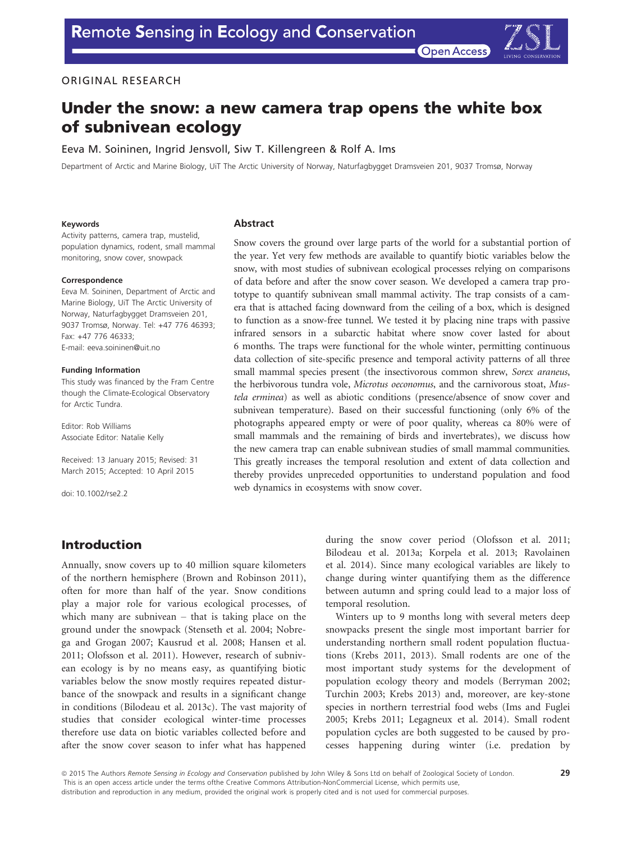## ORIGINAL RESEARCH

# Under the snow: a new camera trap opens the white box of subnivean ecology

Eeva M. Soininen, Ingrid Jensvoll, Siw T. Killengreen & Rolf A. Ims

Abstract

Department of Arctic and Marine Biology, UiT The Arctic University of Norway, Naturfagbygget Dramsveien 201, 9037 Tromsø, Norway

#### Keywords

Activity patterns, camera trap, mustelid, population dynamics, rodent, small mammal monitoring, snow cover, snowpack

#### Correspondence

Eeva M. Soininen, Department of Arctic and Marine Biology, UiT The Arctic University of Norway, Naturfagbygget Dramsveien 201, 9037 Tromsø, Norway. Tel: +47 776 46393; Fax: +47 776 46333; E-mail: eeva.soininen@uit.no

#### Funding Information

This study was financed by the Fram Centre though the Climate-Ecological Observatory for Arctic Tundra.

Editor: Rob Williams Associate Editor: Natalie Kelly

Received: 13 January 2015; Revised: 31 March 2015; Accepted: 10 April 2015

doi: 10.1002/rse2.2

## Introduction

Annually, snow covers up to 40 million square kilometers of the northern hemisphere (Brown and Robinson 2011), often for more than half of the year. Snow conditions play a major role for various ecological processes, of which many are subnivean  $-$  that is taking place on the ground under the snowpack (Stenseth et al. 2004; Nobrega and Grogan 2007; Kausrud et al. 2008; Hansen et al. 2011; Olofsson et al. 2011). However, research of subnivean ecology is by no means easy, as quantifying biotic variables below the snow mostly requires repeated disturbance of the snowpack and results in a significant change in conditions (Bilodeau et al. 2013c). The vast majority of studies that consider ecological winter-time processes therefore use data on biotic variables collected before and after the snow cover season to infer what has happened

Snow covers the ground over large parts of the world for a substantial portion of the year. Yet very few methods are available to quantify biotic variables below the snow, with most studies of subnivean ecological processes relying on comparisons of data before and after the snow cover season. We developed a camera trap prototype to quantify subnivean small mammal activity. The trap consists of a camera that is attached facing downward from the ceiling of a box, which is designed to function as a snow-free tunnel. We tested it by placing nine traps with passive infrared sensors in a subarctic habitat where snow cover lasted for about 6 months. The traps were functional for the whole winter, permitting continuous data collection of site-specific presence and temporal activity patterns of all three small mammal species present (the insectivorous common shrew, Sorex araneus, the herbivorous tundra vole, Microtus oeconomus, and the carnivorous stoat, Mustela erminea) as well as abiotic conditions (presence/absence of snow cover and subnivean temperature). Based on their successful functioning (only 6% of the photographs appeared empty or were of poor quality, whereas ca 80% were of small mammals and the remaining of birds and invertebrates), we discuss how the new camera trap can enable subnivean studies of small mammal communities. This greatly increases the temporal resolution and extent of data collection and thereby provides unpreceded opportunities to understand population and food web dynamics in ecosystems with snow cover.

> during the snow cover period (Olofsson et al. 2011; Bilodeau et al. 2013a; Korpela et al. 2013; Ravolainen et al. 2014). Since many ecological variables are likely to change during winter quantifying them as the difference between autumn and spring could lead to a major loss of temporal resolution.

> Winters up to 9 months long with several meters deep snowpacks present the single most important barrier for understanding northern small rodent population fluctuations (Krebs 2011, 2013). Small rodents are one of the most important study systems for the development of population ecology theory and models (Berryman 2002; Turchin 2003; Krebs 2013) and, moreover, are key-stone species in northern terrestrial food webs (Ims and Fuglei 2005; Krebs 2011; Legagneux et al. 2014). Small rodent population cycles are both suggested to be caused by processes happening during winter (i.e. predation by

ª 2015 The Authors Remote Sensing in Ecology and Conservation published by John Wiley & Sons Ltd on behalf of Zoological Society of London. This is an open access article under the terms ofthe [Creative Commons Attribution-NonCommercial](http://www.eklima.no) License, which permits use, distribution and reproduction in any medium, provided the original work is properly cited and is not used for commercial purposes.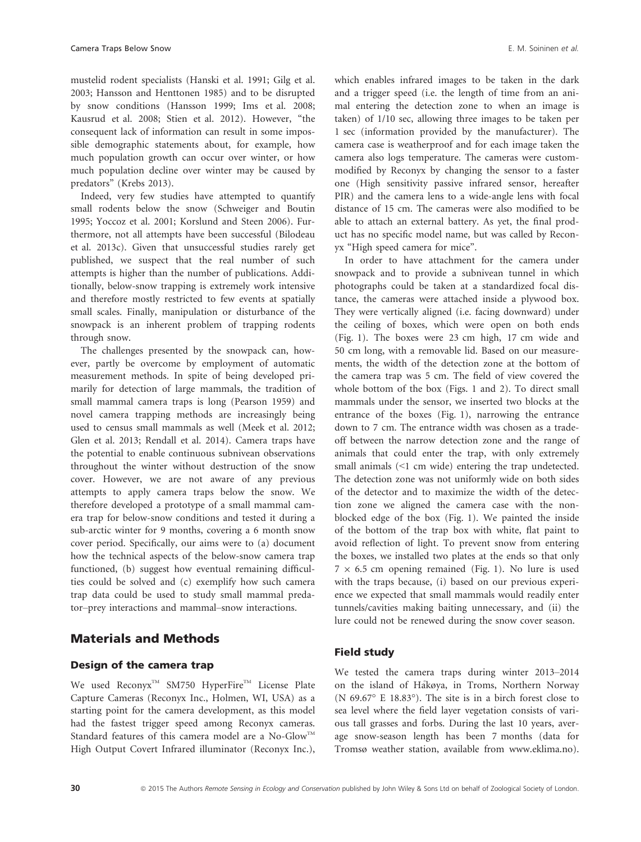mustelid rodent specialists (Hanski et al. 1991; Gilg et al. 2003; Hansson and Henttonen 1985) and to be disrupted by snow conditions (Hansson 1999; Ims et al. 2008; Kausrud et al. 2008; Stien et al. 2012). However, "the consequent lack of information can result in some impossible demographic statements about, for example, how much population growth can occur over winter, or how much population decline over winter may be caused by predators" (Krebs 2013).

Indeed, very few studies have attempted to quantify small rodents below the snow (Schweiger and Boutin 1995; Yoccoz et al. 2001; Korslund and Steen 2006). Furthermore, not all attempts have been successful (Bilodeau et al. 2013c). Given that unsuccessful studies rarely get published, we suspect that the real number of such attempts is higher than the number of publications. Additionally, below-snow trapping is extremely work intensive and therefore mostly restricted to few events at spatially small scales. Finally, manipulation or disturbance of the snowpack is an inherent problem of trapping rodents through snow.

The challenges presented by the snowpack can, however, partly be overcome by employment of automatic measurement methods. In spite of being developed primarily for detection of large mammals, the tradition of small mammal camera traps is long (Pearson 1959) and novel camera trapping methods are increasingly being used to census small mammals as well (Meek et al. 2012; Glen et al. 2013; Rendall et al. 2014). Camera traps have the potential to enable continuous subnivean observations throughout the winter without destruction of the snow cover. However, we are not aware of any previous attempts to apply camera traps below the snow. We therefore developed a prototype of a small mammal camera trap for below-snow conditions and tested it during a sub-arctic winter for 9 months, covering a 6 month snow cover period. Specifically, our aims were to (a) document how the technical aspects of the below-snow camera trap functioned, (b) suggest how eventual remaining difficulties could be solved and (c) exemplify how such camera trap data could be used to study small mammal predator–prey interactions and mammal–snow interactions.

## Materials and Methods

## Design of the camera trap

We used  $\text{Reconvx}^{TM}$  SM750 HyperFire<sup>TM</sup> License Plate Capture Cameras (Reconyx Inc., Holmen, WI, USA) as a starting point for the camera development, as this model had the fastest trigger speed among Reconyx cameras. Standard features of this camera model are a No-Glow<sup>TM</sup> High Output Covert Infrared illuminator (Reconyx Inc.),

which enables infrared images to be taken in the dark and a trigger speed (i.e. the length of time from an animal entering the detection zone to when an image is taken) of 1/10 sec, allowing three images to be taken per 1 sec (information provided by the manufacturer). The camera case is weatherproof and for each image taken the camera also logs temperature. The cameras were custommodified by Reconyx by changing the sensor to a faster one (High sensitivity passive infrared sensor, hereafter PIR) and the camera lens to a wide-angle lens with focal distance of 15 cm. The cameras were also modified to be able to attach an external battery. As yet, the final product has no specific model name, but was called by Reconyx "High speed camera for mice".

In order to have attachment for the camera under snowpack and to provide a subnivean tunnel in which photographs could be taken at a standardized focal distance, the cameras were attached inside a plywood box. They were vertically aligned (i.e. facing downward) under the ceiling of boxes, which were open on both ends (Fig. 1). The boxes were 23 cm high, 17 cm wide and 50 cm long, with a removable lid. Based on our measurements, the width of the detection zone at the bottom of the camera trap was 5 cm. The field of view covered the whole bottom of the box (Figs. 1 and 2). To direct small mammals under the sensor, we inserted two blocks at the entrance of the boxes (Fig. 1), narrowing the entrance down to 7 cm. The entrance width was chosen as a tradeoff between the narrow detection zone and the range of animals that could enter the trap, with only extremely small animals (<1 cm wide) entering the trap undetected. The detection zone was not uniformly wide on both sides of the detector and to maximize the width of the detection zone we aligned the camera case with the nonblocked edge of the box (Fig. 1). We painted the inside of the bottom of the trap box with white, flat paint to avoid reflection of light. To prevent snow from entering the boxes, we installed two plates at the ends so that only  $7 \times 6.5$  cm opening remained (Fig. 1). No lure is used with the traps because, (i) based on our previous experience we expected that small mammals would readily enter tunnels/cavities making baiting unnecessary, and (ii) the lure could not be renewed during the snow cover season.

## Field study

We tested the camera traps during winter 2013–2014 on the island of Hakøya, in Troms, Northern Norway (N 69.67° E 18.83°). The site is in a birch forest close to sea level where the field layer vegetation consists of various tall grasses and forbs. During the last 10 years, average snow-season length has been 7 months (data for Tromsø weather station, available from [www.eklima.no](http://www.eklima.no)).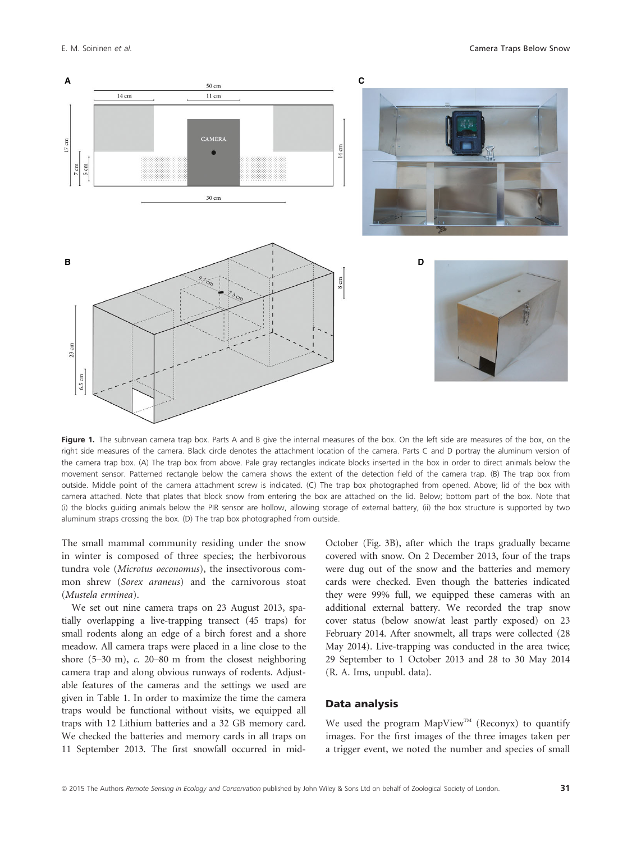

Figure 1. The subnvean camera trap box. Parts A and B give the internal measures of the box. On the left side are measures of the box, on the right side measures of the camera. Black circle denotes the attachment location of the camera. Parts C and D portray the aluminum version of the camera trap box. (A) The trap box from above. Pale gray rectangles indicate blocks inserted in the box in order to direct animals below the movement sensor. Patterned rectangle below the camera shows the extent of the detection field of the camera trap. (B) The trap box from outside. Middle point of the camera attachment screw is indicated. (C) The trap box photographed from opened. Above; lid of the box with camera attached. Note that plates that block snow from entering the box are attached on the lid. Below; bottom part of the box. Note that (i) the blocks guiding animals below the PIR sensor are hollow, allowing storage of external battery, (ii) the box structure is supported by two aluminum straps crossing the box. (D) The trap box photographed from outside.

The small mammal community residing under the snow in winter is composed of three species; the herbivorous tundra vole (Microtus oeconomus), the insectivorous common shrew (Sorex araneus) and the carnivorous stoat (Mustela erminea).

We set out nine camera traps on 23 August 2013, spatially overlapping a live-trapping transect (45 traps) for small rodents along an edge of a birch forest and a shore meadow. All camera traps were placed in a line close to the shore (5–30 m), c. 20–80 m from the closest neighboring camera trap and along obvious runways of rodents. Adjustable features of the cameras and the settings we used are given in Table 1. In order to maximize the time the camera traps would be functional without visits, we equipped all traps with 12 Lithium batteries and a 32 GB memory card. We checked the batteries and memory cards in all traps on 11 September 2013. The first snowfall occurred in midOctober (Fig. 3B), after which the traps gradually became covered with snow. On 2 December 2013, four of the traps were dug out of the snow and the batteries and memory cards were checked. Even though the batteries indicated they were 99% full, we equipped these cameras with an additional external battery. We recorded the trap snow cover status (below snow/at least partly exposed) on 23 February 2014. After snowmelt, all traps were collected (28 May 2014). Live-trapping was conducted in the area twice; 29 September to 1 October 2013 and 28 to 30 May 2014 (R. A. Ims, unpubl. data).

### Data analysis

We used the program MapView<sup>TM</sup> (Reconyx) to quantify images. For the first images of the three images taken per a trigger event, we noted the number and species of small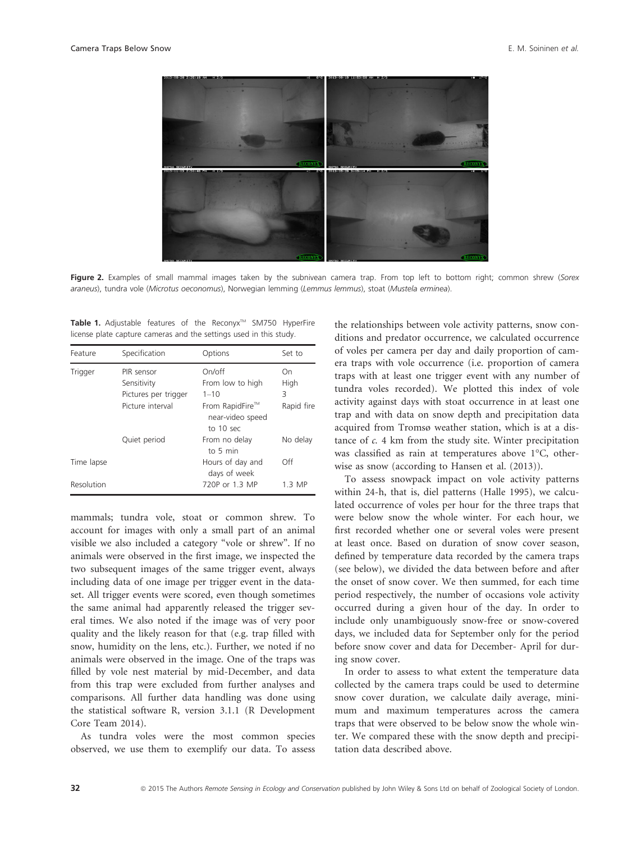

Figure 2. Examples of small mammal images taken by the subnivean camera trap. From top left to bottom right; common shrew (Sorex araneus), tundra vole (Microtus oeconomus), Norwegian lemming (Lemmus lemmus), stoat (Mustela erminea).

Table 1. Adjustable features of the Reconyx™ SM750 HyperFire license plate capture cameras and the settings used in this study.

| Feature    | Specification        | Options                                          | Set to     |
|------------|----------------------|--------------------------------------------------|------------|
| Trigger    | PIR sensor           | On/off                                           | On         |
|            | Sensitivity          | From low to high                                 | High       |
|            | Pictures per trigger | $1 - 10$                                         | 3          |
|            | Picture interval     | From RapidFire™<br>near-video speed<br>to 10 sec | Rapid fire |
|            | Quiet period         | From no delay<br>to 5 min                        | No delay   |
| Time lapse |                      | Hours of day and<br>days of week                 | Off        |
| Resolution |                      | 720P or 1.3 MP                                   | $1.3$ MP   |

mammals; tundra vole, stoat or common shrew. To account for images with only a small part of an animal visible we also included a category "vole or shrew". If no animals were observed in the first image, we inspected the two subsequent images of the same trigger event, always including data of one image per trigger event in the dataset. All trigger events were scored, even though sometimes the same animal had apparently released the trigger several times. We also noted if the image was of very poor quality and the likely reason for that (e.g. trap filled with snow, humidity on the lens, etc.). Further, we noted if no animals were observed in the image. One of the traps was filled by vole nest material by mid-December, and data from this trap were excluded from further analyses and comparisons. All further data handling was done using the statistical software R, version 3.1.1 (R Development Core Team 2014).

As tundra voles were the most common species observed, we use them to exemplify our data. To assess the relationships between vole activity patterns, snow conditions and predator occurrence, we calculated occurrence of voles per camera per day and daily proportion of camera traps with vole occurrence (i.e. proportion of camera traps with at least one trigger event with any number of tundra voles recorded). We plotted this index of vole activity against days with stoat occurrence in at least one trap and with data on snow depth and precipitation data acquired from Tromsø weather station, which is at a distance of c. 4 km from the study site. Winter precipitation was classified as rain at temperatures above 1°C, otherwise as snow (according to Hansen et al. (2013)).

To assess snowpack impact on vole activity patterns within 24-h, that is, diel patterns (Halle 1995), we calculated occurrence of voles per hour for the three traps that were below snow the whole winter. For each hour, we first recorded whether one or several voles were present at least once. Based on duration of snow cover season, defined by temperature data recorded by the camera traps (see below), we divided the data between before and after the onset of snow cover. We then summed, for each time period respectively, the number of occasions vole activity occurred during a given hour of the day. In order to include only unambiguously snow-free or snow-covered days, we included data for September only for the period before snow cover and data for December- April for during snow cover.

In order to assess to what extent the temperature data collected by the camera traps could be used to determine snow cover duration, we calculate daily average, minimum and maximum temperatures across the camera traps that were observed to be below snow the whole winter. We compared these with the snow depth and precipitation data described above.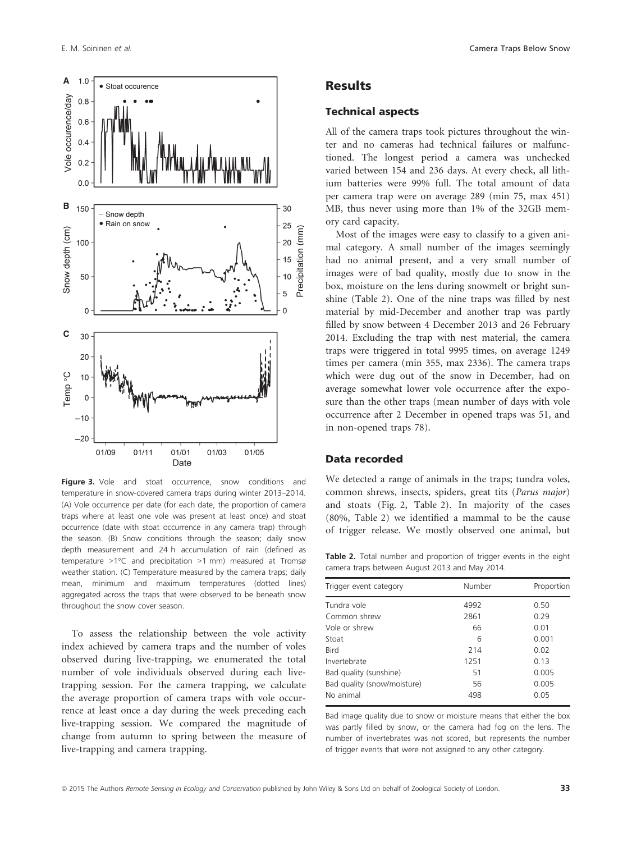

Figure 3. Vole and stoat occurrence, snow conditions and temperature in snow-covered camera traps during winter 2013–2014. (A) Vole occurrence per date (for each date, the proportion of camera traps where at least one vole was present at least once) and stoat occurrence (date with stoat occurrence in any camera trap) through the season. (B) Snow conditions through the season; daily snow depth measurement and 24 h accumulation of rain (defined as temperature >1°C and precipitation >1 mm) measured at Tromsø weather station. (C) Temperature measured by the camera traps; daily mean, minimum and maximum temperatures (dotted lines) aggregated across the traps that were observed to be beneath snow throughout the snow cover season.

To assess the relationship between the vole activity index achieved by camera traps and the number of voles observed during live-trapping, we enumerated the total number of vole individuals observed during each livetrapping session. For the camera trapping, we calculate the average proportion of camera traps with vole occurrence at least once a day during the week preceding each live-trapping session. We compared the magnitude of change from autumn to spring between the measure of live-trapping and camera trapping.

## Results

#### Technical aspects

All of the camera traps took pictures throughout the winter and no cameras had technical failures or malfunctioned. The longest period a camera was unchecked varied between 154 and 236 days. At every check, all lithium batteries were 99% full. The total amount of data per camera trap were on average 289 (min 75, max 451) MB, thus never using more than 1% of the 32GB memory card capacity.

Most of the images were easy to classify to a given animal category. A small number of the images seemingly had no animal present, and a very small number of images were of bad quality, mostly due to snow in the box, moisture on the lens during snowmelt or bright sunshine (Table 2). One of the nine traps was filled by nest material by mid-December and another trap was partly filled by snow between 4 December 2013 and 26 February 2014. Excluding the trap with nest material, the camera traps were triggered in total 9995 times, on average 1249 times per camera (min 355, max 2336). The camera traps which were dug out of the snow in December, had on average somewhat lower vole occurrence after the exposure than the other traps (mean number of days with vole occurrence after 2 December in opened traps was 51, and in non-opened traps 78).

## Data recorded

We detected a range of animals in the traps; tundra voles, common shrews, insects, spiders, great tits (Parus major) and stoats (Fig. 2, Table 2). In majority of the cases (80%, Table 2) we identified a mammal to be the cause of trigger release. We mostly observed one animal, but

Table 2. Total number and proportion of trigger events in the eight camera traps between August 2013 and May 2014.

| Trigger event category      | Number | Proportion |
|-----------------------------|--------|------------|
| Tundra vole                 | 4992   | 0.50       |
| Common shrew                | 2861   | 0.29       |
| Vole or shrew               | 66     | 0.01       |
| Stoat                       | 6      | 0.001      |
| <b>Bird</b>                 | 214    | 0.02       |
| Invertebrate                | 1251   | 0.13       |
| Bad quality (sunshine)      | 51     | 0.005      |
| Bad quality (snow/moisture) | 56     | 0.005      |
| No animal                   | 498    | 0.05       |

Bad image quality due to snow or moisture means that either the box was partly filled by snow, or the camera had fog on the lens. The number of invertebrates was not scored, but represents the number of trigger events that were not assigned to any other category.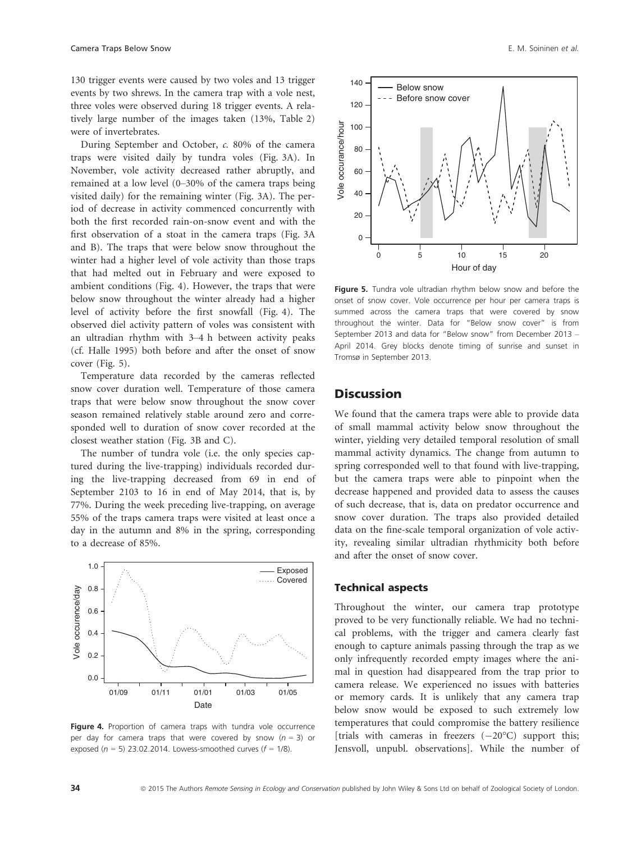130 trigger events were caused by two voles and 13 trigger events by two shrews. In the camera trap with a vole nest, three voles were observed during 18 trigger events. A relatively large number of the images taken (13%, Table 2) were of invertebrates.

During September and October, c. 80% of the camera traps were visited daily by tundra voles (Fig. 3A). In November, vole activity decreased rather abruptly, and remained at a low level (0–30% of the camera traps being visited daily) for the remaining winter (Fig. 3A). The period of decrease in activity commenced concurrently with both the first recorded rain-on-snow event and with the first observation of a stoat in the camera traps (Fig. 3A and B). The traps that were below snow throughout the winter had a higher level of vole activity than those traps that had melted out in February and were exposed to ambient conditions (Fig. 4). However, the traps that were below snow throughout the winter already had a higher level of activity before the first snowfall (Fig. 4). The observed diel activity pattern of voles was consistent with an ultradian rhythm with 3–4 h between activity peaks (cf. Halle 1995) both before and after the onset of snow cover (Fig. 5).

Temperature data recorded by the cameras reflected snow cover duration well. Temperature of those camera traps that were below snow throughout the snow cover season remained relatively stable around zero and corresponded well to duration of snow cover recorded at the closest weather station (Fig. 3B and C).

The number of tundra vole (i.e. the only species captured during the live-trapping) individuals recorded during the live-trapping decreased from 69 in end of September 2103 to 16 in end of May 2014, that is, by 77%. During the week preceding live-trapping, on average 55% of the traps camera traps were visited at least once a day in the autumn and 8% in the spring, corresponding to a decrease of 85%.



Figure 4. Proportion of camera traps with tundra vole occurrence per day for camera traps that were covered by snow  $(n = 3)$  or exposed ( $n = 5$ ) 23.02.2014. Lowess-smoothed curves ( $f = 1/8$ ).



Figure 5. Tundra vole ultradian rhythm below snow and before the onset of snow cover. Vole occurrence per hour per camera traps is summed across the camera traps that were covered by snow throughout the winter. Data for "Below snow cover" is from September 2013 and data for "Below snow" from December 2013 – April 2014. Grey blocks denote timing of sunrise and sunset in Tromsø in September 2013.

## **Discussion**

We found that the camera traps were able to provide data of small mammal activity below snow throughout the winter, yielding very detailed temporal resolution of small mammal activity dynamics. The change from autumn to spring corresponded well to that found with live-trapping, but the camera traps were able to pinpoint when the decrease happened and provided data to assess the causes of such decrease, that is, data on predator occurrence and snow cover duration. The traps also provided detailed data on the fine-scale temporal organization of vole activity, revealing similar ultradian rhythmicity both before and after the onset of snow cover.

## Technical aspects

Throughout the winter, our camera trap prototype proved to be very functionally reliable. We had no technical problems, with the trigger and camera clearly fast enough to capture animals passing through the trap as we only infrequently recorded empty images where the animal in question had disappeared from the trap prior to camera release. We experienced no issues with batteries or memory cards. It is unlikely that any camera trap below snow would be exposed to such extremely low temperatures that could compromise the battery resilience [trials with cameras in freezers  $(-20^{\circ}C)$  support this; Jensvoll, unpubl. observations]. While the number of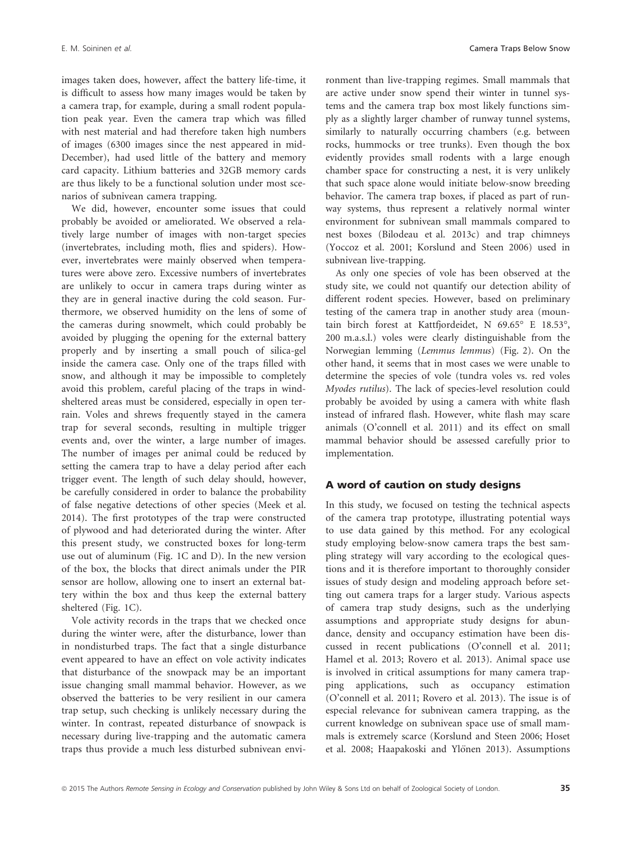images taken does, however, affect the battery life-time, it is difficult to assess how many images would be taken by a camera trap, for example, during a small rodent population peak year. Even the camera trap which was filled with nest material and had therefore taken high numbers of images (6300 images since the nest appeared in mid-December), had used little of the battery and memory card capacity. Lithium batteries and 32GB memory cards are thus likely to be a functional solution under most scenarios of subnivean camera trapping.

We did, however, encounter some issues that could probably be avoided or ameliorated. We observed a relatively large number of images with non-target species (invertebrates, including moth, flies and spiders). However, invertebrates were mainly observed when temperatures were above zero. Excessive numbers of invertebrates are unlikely to occur in camera traps during winter as they are in general inactive during the cold season. Furthermore, we observed humidity on the lens of some of the cameras during snowmelt, which could probably be avoided by plugging the opening for the external battery properly and by inserting a small pouch of silica-gel inside the camera case. Only one of the traps filled with snow, and although it may be impossible to completely avoid this problem, careful placing of the traps in windsheltered areas must be considered, especially in open terrain. Voles and shrews frequently stayed in the camera trap for several seconds, resulting in multiple trigger events and, over the winter, a large number of images. The number of images per animal could be reduced by setting the camera trap to have a delay period after each trigger event. The length of such delay should, however, be carefully considered in order to balance the probability of false negative detections of other species (Meek et al. 2014). The first prototypes of the trap were constructed of plywood and had deteriorated during the winter. After this present study, we constructed boxes for long-term use out of aluminum (Fig. 1C and D). In the new version of the box, the blocks that direct animals under the PIR sensor are hollow, allowing one to insert an external battery within the box and thus keep the external battery sheltered (Fig. 1C).

Vole activity records in the traps that we checked once during the winter were, after the disturbance, lower than in nondisturbed traps. The fact that a single disturbance event appeared to have an effect on vole activity indicates that disturbance of the snowpack may be an important issue changing small mammal behavior. However, as we observed the batteries to be very resilient in our camera trap setup, such checking is unlikely necessary during the winter. In contrast, repeated disturbance of snowpack is necessary during live-trapping and the automatic camera traps thus provide a much less disturbed subnivean environment than live-trapping regimes. Small mammals that are active under snow spend their winter in tunnel systems and the camera trap box most likely functions simply as a slightly larger chamber of runway tunnel systems, similarly to naturally occurring chambers (e.g. between rocks, hummocks or tree trunks). Even though the box evidently provides small rodents with a large enough chamber space for constructing a nest, it is very unlikely that such space alone would initiate below-snow breeding behavior. The camera trap boxes, if placed as part of runway systems, thus represent a relatively normal winter environment for subnivean small mammals compared to nest boxes (Bilodeau et al. 2013c) and trap chimneys (Yoccoz et al. 2001; Korslund and Steen 2006) used in subnivean live-trapping.

As only one species of vole has been observed at the study site, we could not quantify our detection ability of different rodent species. However, based on preliminary testing of the camera trap in another study area (mountain birch forest at Kattfjordeidet, N 69.65° E 18.53°, 200 m.a.s.l.) voles were clearly distinguishable from the Norwegian lemming (Lemmus lemmus) (Fig. 2). On the other hand, it seems that in most cases we were unable to determine the species of vole (tundra voles vs. red voles Myodes rutilus). The lack of species-level resolution could probably be avoided by using a camera with white flash instead of infrared flash. However, white flash may scare animals (O'connell et al. 2011) and its effect on small mammal behavior should be assessed carefully prior to implementation.

### A word of caution on study designs

In this study, we focused on testing the technical aspects of the camera trap prototype, illustrating potential ways to use data gained by this method. For any ecological study employing below-snow camera traps the best sampling strategy will vary according to the ecological questions and it is therefore important to thoroughly consider issues of study design and modeling approach before setting out camera traps for a larger study. Various aspects of camera trap study designs, such as the underlying assumptions and appropriate study designs for abundance, density and occupancy estimation have been discussed in recent publications (O'connell et al. 2011; Hamel et al. 2013; Rovero et al. 2013). Animal space use is involved in critical assumptions for many camera trapping applications, such as occupancy estimation (O'connell et al. 2011; Rovero et al. 2013). The issue is of especial relevance for subnivean camera trapping, as the current knowledge on subnivean space use of small mammals is extremely scarce (Korslund and Steen 2006; Hoset et al. 2008; Haapakoski and Ylönen 2013). Assumptions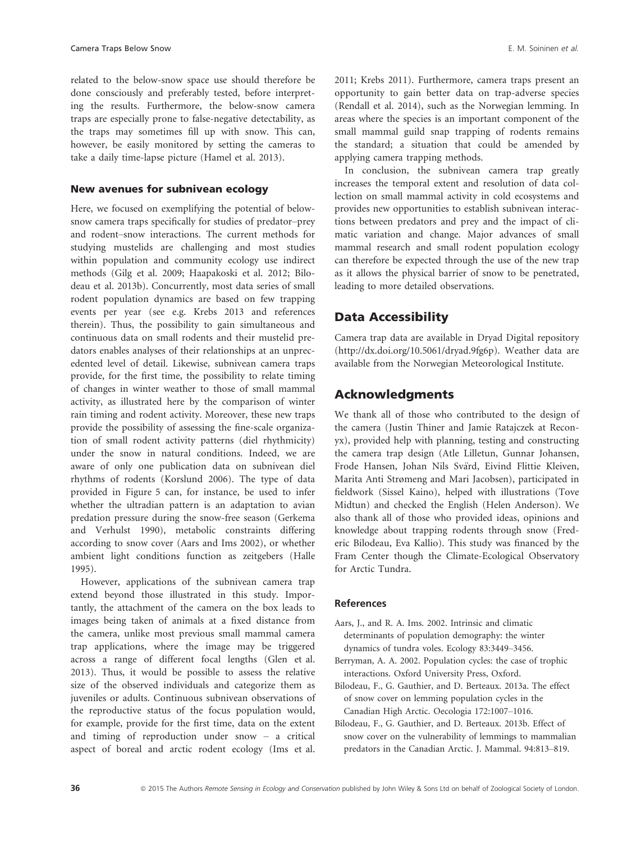related to the below-snow space use should therefore be done consciously and preferably tested, before interpreting the results. Furthermore, the below-snow camera traps are especially prone to false-negative detectability, as the traps may sometimes fill up with snow. This can, however, be easily monitored by setting the cameras to take a daily time-lapse picture (Hamel et al. 2013).

## New avenues for subnivean ecology

Here, we focused on exemplifying the potential of belowsnow camera traps specifically for studies of predator–prey and rodent–snow interactions. The current methods for studying mustelids are challenging and most studies within population and community ecology use indirect methods (Gilg et al. 2009; Haapakoski et al. 2012; Bilodeau et al. 2013b). Concurrently, most data series of small rodent population dynamics are based on few trapping events per year (see e.g. Krebs 2013 and references therein). Thus, the possibility to gain simultaneous and continuous data on small rodents and their mustelid predators enables analyses of their relationships at an unprecedented level of detail. Likewise, subnivean camera traps provide, for the first time, the possibility to relate timing of changes in winter weather to those of small mammal activity, as illustrated here by the comparison of winter rain timing and rodent activity. Moreover, these new traps provide the possibility of assessing the fine-scale organization of small rodent activity patterns (diel rhythmicity) under the snow in natural conditions. Indeed, we are aware of only one publication data on subnivean diel rhythms of rodents (Korslund 2006). The type of data provided in Figure 5 can, for instance, be used to infer whether the ultradian pattern is an adaptation to avian predation pressure during the snow-free season (Gerkema and Verhulst 1990), metabolic constraints differing according to snow cover (Aars and Ims 2002), or whether ambient light conditions function as zeitgebers (Halle 1995).

However, applications of the subnivean camera trap extend beyond those illustrated in this study. Importantly, the attachment of the camera on the box leads to images being taken of animals at a fixed distance from the camera, unlike most previous small mammal camera trap applications, where the image may be triggered across a range of different focal lengths (Glen et al. 2013). Thus, it would be possible to assess the relative size of the observed individuals and categorize them as juveniles or adults. Continuous subnivean observations of the reproductive status of the focus population would, for example, provide for the first time, data on the extent and timing of reproduction under snow – a critical aspect of boreal and arctic rodent ecology (Ims et al.

2011; Krebs 2011). Furthermore, camera traps present an opportunity to gain better data on trap-adverse species (Rendall et al. 2014), such as the Norwegian lemming. In areas where the species is an important component of the small mammal guild snap trapping of rodents remains the standard; a situation that could be amended by applying camera trapping methods.

In conclusion, the subnivean camera trap greatly increases the temporal extent and resolution of data collection on small mammal activity in cold ecosystems and provides new opportunities to establish subnivean interactions between predators and prey and the impact of climatic variation and change. Major advances of small mammal research and small rodent population ecology can therefore be expected through the use of the new trap as it allows the physical barrier of snow to be penetrated, leading to more detailed observations.

# Data Accessibility

Camera trap data are available in Dryad Digital repository [\(http://dx.doi.org/10.5061/dryad.9fg6p\)](http://dx.doi.org/10.5061/dryad.9fg6p). Weather data are available from the Norwegian Meteorological Institute.

# Acknowledgments

We thank all of those who contributed to the design of the camera (Justin Thiner and Jamie Ratajczek at Reconyx), provided help with planning, testing and constructing the camera trap design (Atle Lilletun, Gunnar Johansen, Frode Hansen, Johan Nils Svärd, Eivind Flittie Kleiven, Marita Anti Strømeng and Mari Jacobsen), participated in fieldwork (Sissel Kaino), helped with illustrations (Tove Midtun) and checked the English (Helen Anderson). We also thank all of those who provided ideas, opinions and knowledge about trapping rodents through snow (Frederic Bilodeau, Eva Kallio). This study was financed by the Fram Center though the Climate-Ecological Observatory for Arctic Tundra.

## References

- Aars, J., and R. A. Ims. 2002. Intrinsic and climatic determinants of population demography: the winter dynamics of tundra voles. Ecology 83:3449–3456.
- Berryman, A. A. 2002. Population cycles: the case of trophic interactions. Oxford University Press, Oxford.
- Bilodeau, F., G. Gauthier, and D. Berteaux. 2013a. The effect of snow cover on lemming population cycles in the Canadian High Arctic. Oecologia 172:1007–1016.
- Bilodeau, F., G. Gauthier, and D. Berteaux. 2013b. Effect of snow cover on the vulnerability of lemmings to mammalian predators in the Canadian Arctic. J. Mammal. 94:813–819.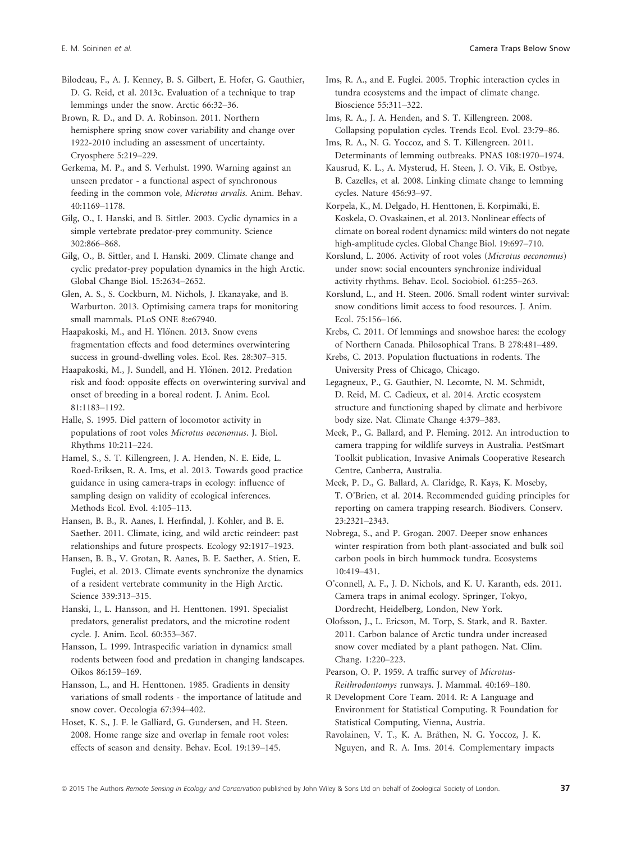Bilodeau, F., A. J. Kenney, B. S. Gilbert, E. Hofer, G. Gauthier, D. G. Reid, et al. 2013c. Evaluation of a technique to trap lemmings under the snow. Arctic 66:32–36.

Brown, R. D., and D. A. Robinson. 2011. Northern hemisphere spring snow cover variability and change over 1922-2010 including an assessment of uncertainty. Cryosphere 5:219–229.

Gerkema, M. P., and S. Verhulst. 1990. Warning against an unseen predator - a functional aspect of synchronous feeding in the common vole, Microtus arvalis. Anim. Behav. 40:1169–1178.

Gilg, O., I. Hanski, and B. Sittler. 2003. Cyclic dynamics in a simple vertebrate predator-prey community. Science 302:866–868.

Gilg, O., B. Sittler, and I. Hanski. 2009. Climate change and cyclic predator-prey population dynamics in the high Arctic. Global Change Biol. 15:2634–2652.

Glen, A. S., S. Cockburn, M. Nichols, J. Ekanayake, and B. Warburton. 2013. Optimising camera traps for monitoring small mammals. PLoS ONE 8:e67940.

Haapakoski, M., and H. Ylönen. 2013. Snow evens fragmentation effects and food determines overwintering success in ground-dwelling voles. Ecol. Res. 28:307–315.

Haapakoski, M., J. Sundell, and H. Ylönen. 2012. Predation risk and food: opposite effects on overwintering survival and onset of breeding in a boreal rodent. J. Anim. Ecol. 81:1183–1192.

Halle, S. 1995. Diel pattern of locomotor activity in populations of root voles Microtus oeconomus. J. Biol. Rhythms 10:211–224.

Hamel, S., S. T. Killengreen, J. A. Henden, N. E. Eide, L. Roed-Eriksen, R. A. Ims, et al. 2013. Towards good practice guidance in using camera-traps in ecology: influence of sampling design on validity of ecological inferences. Methods Ecol. Evol. 4:105–113.

Hansen, B. B., R. Aanes, I. Herfindal, J. Kohler, and B. E. Saether. 2011. Climate, icing, and wild arctic reindeer: past relationships and future prospects. Ecology 92:1917–1923.

Hansen, B. B., V. Grotan, R. Aanes, B. E. Saether, A. Stien, E. Fuglei, et al. 2013. Climate events synchronize the dynamics of a resident vertebrate community in the High Arctic. Science 339:313–315.

Hanski, I., L. Hansson, and H. Henttonen. 1991. Specialist predators, generalist predators, and the microtine rodent cycle. J. Anim. Ecol. 60:353–367.

Hansson, L. 1999. Intraspecific variation in dynamics: small rodents between food and predation in changing landscapes. Oikos 86:159–169.

Hansson, L., and H. Henttonen. 1985. Gradients in density variations of small rodents - the importance of latitude and snow cover. Oecologia 67:394–402.

Hoset, K. S., J. F. le Galliard, G. Gundersen, and H. Steen. 2008. Home range size and overlap in female root voles: effects of season and density. Behav. Ecol. 19:139–145.

Ims, R. A., and E. Fuglei. 2005. Trophic interaction cycles in tundra ecosystems and the impact of climate change. Bioscience 55:311–322.

Ims, R. A., J. A. Henden, and S. T. Killengreen. 2008. Collapsing population cycles. Trends Ecol. Evol. 23:79–86.

Ims, R. A., N. G. Yoccoz, and S. T. Killengreen. 2011. Determinants of lemming outbreaks. PNAS 108:1970–1974.

Kausrud, K. L., A. Mysterud, H. Steen, J. O. Vik, E. Ostbye, B. Cazelles, et al. 2008. Linking climate change to lemming cycles. Nature 456:93–97.

Korpela, K., M. Delgado, H. Henttonen, E. Korpimáki, E. Koskela, O. Ovaskainen, et al. 2013. Nonlinear effects of climate on boreal rodent dynamics: mild winters do not negate high-amplitude cycles. Global Change Biol. 19:697–710.

Korslund, L. 2006. Activity of root voles (Microtus oeconomus) under snow: social encounters synchronize individual activity rhythms. Behav. Ecol. Sociobiol. 61:255–263.

Korslund, L., and H. Steen. 2006. Small rodent winter survival: snow conditions limit access to food resources. J. Anim. Ecol. 75:156–166.

Krebs, C. 2011. Of lemmings and snowshoe hares: the ecology of Northern Canada. Philosophical Trans. B 278:481–489.

Krebs, C. 2013. Population fluctuations in rodents. The University Press of Chicago, Chicago.

Legagneux, P., G. Gauthier, N. Lecomte, N. M. Schmidt, D. Reid, M. C. Cadieux, et al. 2014. Arctic ecosystem structure and functioning shaped by climate and herbivore body size. Nat. Climate Change 4:379–383.

Meek, P., G. Ballard, and P. Fleming. 2012. An introduction to camera trapping for wildlife surveys in Australia. PestSmart Toolkit publication, Invasive Animals Cooperative Research Centre, Canberra, Australia.

Meek, P. D., G. Ballard, A. Claridge, R. Kays, K. Moseby, T. O'Brien, et al. 2014. Recommended guiding principles for reporting on camera trapping research. Biodivers. Conserv. 23:2321–2343.

Nobrega, S., and P. Grogan. 2007. Deeper snow enhances winter respiration from both plant-associated and bulk soil carbon pools in birch hummock tundra. Ecosystems 10:419–431.

O'connell, A. F., J. D. Nichols, and K. U. Karanth, eds. 2011. Camera traps in animal ecology. Springer, Tokyo, Dordrecht, Heidelberg, London, New York.

Olofsson, J., L. Ericson, M. Torp, S. Stark, and R. Baxter. 2011. Carbon balance of Arctic tundra under increased snow cover mediated by a plant pathogen. Nat. Clim. Chang. 1:220–223.

Pearson, O. P. 1959. A traffic survey of Microtus-Reithrodontomys runways. J. Mammal. 40:169–180.

R Development Core Team. 2014. R: A Language and Environment for Statistical Computing. R Foundation for Statistical Computing, Vienna, Austria.

Ravolainen, V. T., K. A. Brathen, N. G. Yoccoz, J. K. Nguyen, and R. A. Ims. 2014. Complementary impacts